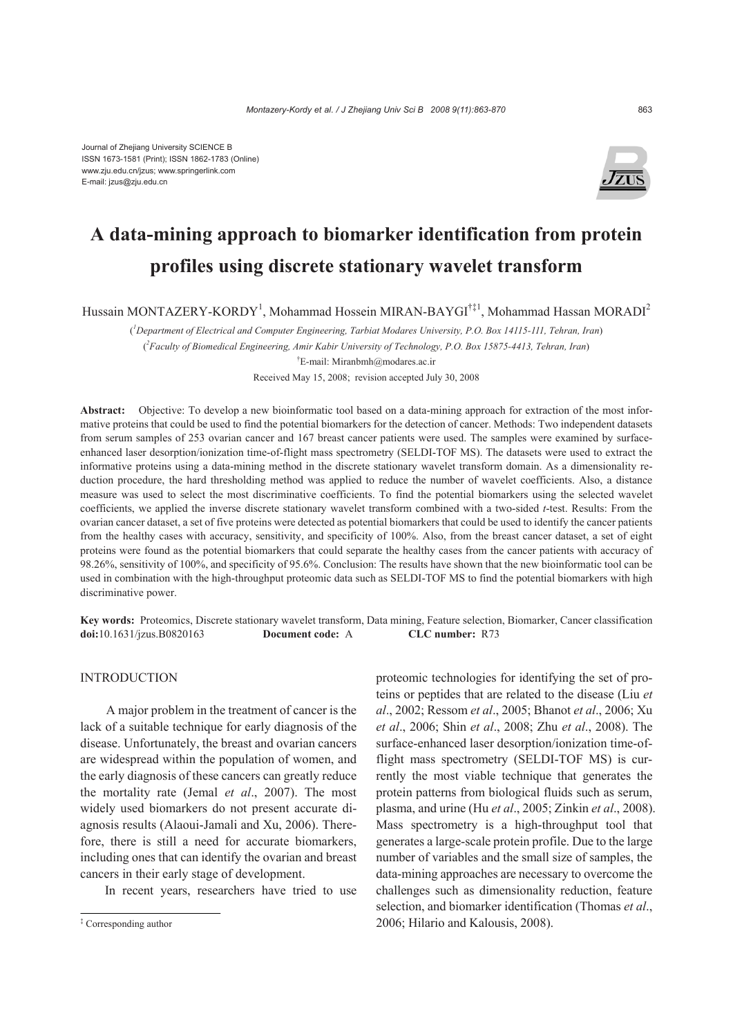

# **A data-mining approach to biomarker identification from protein profiles using discrete stationary wavelet transform**

Hussain MONTAZERY-KORDY<sup>1</sup>, Mohammad Hossein MIRAN-BAYGI<sup>†‡1</sup>, Mohammad Hassan MORADI<sup>2</sup>

( *1 Department of Electrical and Computer Engineering, Tarbiat Modares University, P.O. Box 14115-111, Tehran, Iran*) ( *2 Faculty of Biomedical Engineering, Amir Kabir University of Technology, P.O. Box 15875-4413, Tehran, Iran*) † E-mail: Miranbmh@modares.ac.ir

Received May 15, 2008; revision accepted July 30, 2008

**Abstract:** Objective: To develop a new bioinformatic tool based on a data-mining approach for extraction of the most informative proteins that could be used to find the potential biomarkers for the detection of cancer. Methods: Two independent datasets from serum samples of 253 ovarian cancer and 167 breast cancer patients were used. The samples were examined by surfaceenhanced laser desorption/ionization time-of-flight mass spectrometry (SELDI-TOF MS). The datasets were used to extract the informative proteins using a data-mining method in the discrete stationary wavelet transform domain. As a dimensionality reduction procedure, the hard thresholding method was applied to reduce the number of wavelet coefficients. Also, a distance measure was used to select the most discriminative coefficients. To find the potential biomarkers using the selected wavelet coefficients, we applied the inverse discrete stationary wavelet transform combined with a two-sided *t*-test. Results: From the ovarian cancer dataset, a set of five proteins were detected as potential biomarkers that could be used to identify the cancer patients from the healthy cases with accuracy, sensitivity, and specificity of 100%. Also, from the breast cancer dataset, a set of eight proteins were found as the potential biomarkers that could separate the healthy cases from the cancer patients with accuracy of 98.26%, sensitivity of 100%, and specificity of 95.6%. Conclusion: The results have shown that the new bioinformatic tool can be used in combination with the high-throughput proteomic data such as SELDI-TOF MS to find the potential biomarkers with high discriminative power.

**Key words:** Proteomics, Discrete stationary wavelet transform, Data mining, Feature selection, Biomarker, Cancer classification **doi:**10.1631/jzus.B0820163 **Document code:** A **CLC number:** R73

### **INTRODUCTION**

A major problem in the treatment of cancer is the lack of a suitable technique for early diagnosis of the disease. Unfortunately, the breast and ovarian cancers are widespread within the population of women, and the early diagnosis of these cancers can greatly reduce the mortality rate (Jemal *et al*., 2007). The most widely used biomarkers do not present accurate diagnosis results (Alaoui-Jamali and Xu, 2006). Therefore, there is still a need for accurate biomarkers, including ones that can identify the ovarian and breast cancers in their early stage of development.

In recent years, researchers have tried to use

proteomic technologies for identifying the set of proteins or peptides that are related to the disease (Liu *et al*., 2002; Ressom *et al*., 2005; Bhanot *et al*., 2006; Xu *et al*., 2006; Shin *et al*., 2008; Zhu *et al*., 2008). The surface-enhanced laser desorption/ionization time-offlight mass spectrometry (SELDI-TOF MS) is currently the most viable technique that generates the protein patterns from biological fluids such as serum, plasma, and urine (Hu *et al*., 2005; Zinkin *et al*., 2008). Mass spectrometry is a high-throughput tool that generates a large-scale protein profile. Due to the large number of variables and the small size of samples, the data-mining approaches are necessary to overcome the challenges such as dimensionality reduction, feature selection, and biomarker identification (Thomas *et al*., 2006; Hilario and Kalousis, 2008).

<sup>‡</sup> Corresponding author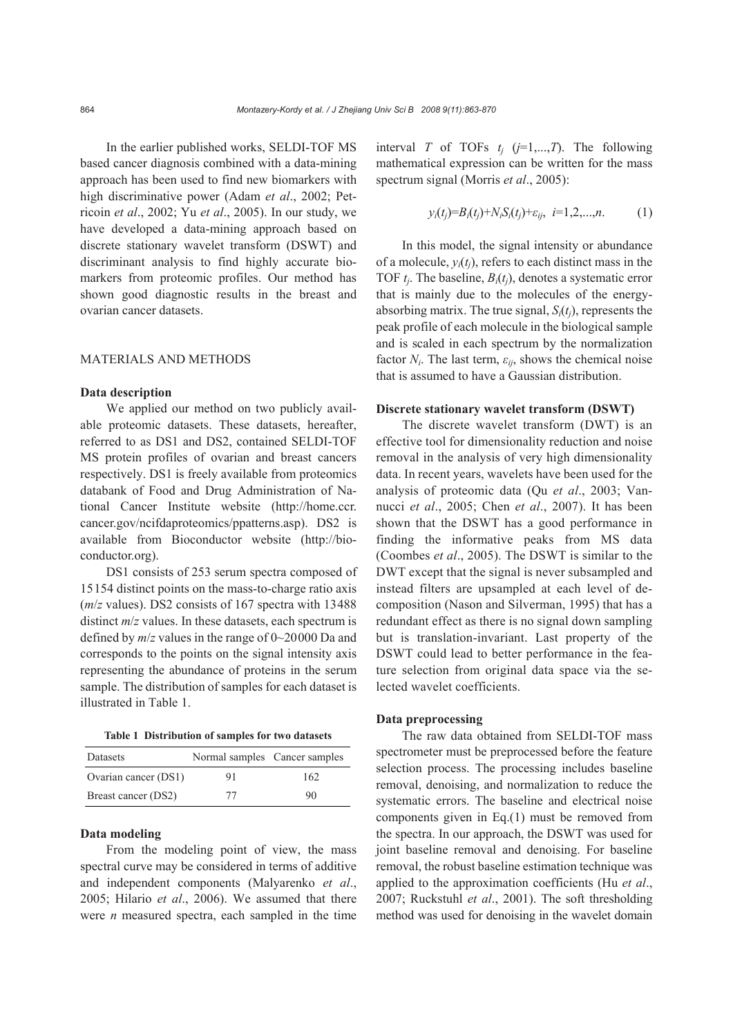In the earlier published works, SELDI-TOF MS based cancer diagnosis combined with a data-mining approach has been used to find new biomarkers with high discriminative power (Adam *et al*., 2002; Petricoin *et al*., 2002; Yu *et al*., 2005). In our study, we have developed a data-mining approach based on discrete stationary wavelet transform (DSWT) and discriminant analysis to find highly accurate biomarkers from proteomic profiles. Our method has shown good diagnostic results in the breast and ovarian cancer datasets.

# MATERIALS AND METHODS

#### **Data description**

We applied our method on two publicly available proteomic datasets. These datasets, hereafter, referred to as DS1 and DS2, contained SELDI-TOF MS protein profiles of ovarian and breast cancers respectively. DS1 is freely available from proteomics databank of Food and Drug Administration of National Cancer Institute website (http://home.ccr. cancer.gov/ncifdaproteomics/ppatterns.asp). DS2 is available from Bioconductor website (http://bioconductor.org).

DS1 consists of 253 serum spectra composed of 15154 distinct points on the mass-to-charge ratio axis (*m*/*z* values). DS2 consists of 167 spectra with 13488 distinct *m/z* values. In these datasets, each spectrum is defined by *m*/*z* values in the range of 0~20000 Da and corresponds to the points on the signal intensity axis representing the abundance of proteins in the serum sample. The distribution of samples for each dataset is illustrated in Table 1.

| Table 1 Distribution of samples for two datasets |  |  |  |  |  |
|--------------------------------------------------|--|--|--|--|--|
|--------------------------------------------------|--|--|--|--|--|

| Datasets             | Normal samples Cancer samples |     |
|----------------------|-------------------------------|-----|
| Ovarian cancer (DS1) | 91                            | 162 |
| Breast cancer (DS2)  | 77                            | 90  |

# **Data modeling**

From the modeling point of view, the mass spectral curve may be considered in terms of additive and independent components (Malyarenko *et al*., 2005; Hilario *et al*., 2006). We assumed that there were *n* measured spectra, each sampled in the time

interval *T* of TOFs  $t_i$  ( $j=1,...,T$ ). The following mathematical expression can be written for the mass spectrum signal (Morris *et al*., 2005):

$$
y_i(t_j)=B_i(t_j)+N_iS_i(t_j)+\varepsilon_{ij}, i=1,2,...,n.
$$
 (1)

In this model, the signal intensity or abundance of a molecule,  $y_i(t_i)$ , refers to each distinct mass in the TOF *tj*. The baseline, *Bi*(*tj*), denotes a systematic error that is mainly due to the molecules of the energyabsorbing matrix. The true signal, *Si*(*tj*), represents the peak profile of each molecule in the biological sample and is scaled in each spectrum by the normalization factor  $N_i$ . The last term,  $\varepsilon_{ij}$ , shows the chemical noise that is assumed to have a Gaussian distribution.

#### **Discrete stationary wavelet transform (DSWT)**

The discrete wavelet transform (DWT) is an effective tool for dimensionality reduction and noise removal in the analysis of very high dimensionality data. In recent years, wavelets have been used for the analysis of proteomic data (Qu *et al*., 2003; Vannucci *et al*., 2005; Chen *et al*., 2007). It has been shown that the DSWT has a good performance in finding the informative peaks from MS data (Coombes *et al*., 2005). The DSWT is similar to the DWT except that the signal is never subsampled and instead filters are upsampled at each level of decomposition (Nason and Silverman, 1995) that has a redundant effect as there is no signal down sampling but is translation-invariant. Last property of the DSWT could lead to better performance in the feature selection from original data space via the selected wavelet coefficients.

## **Data preprocessing**

The raw data obtained from SELDI-TOF mass spectrometer must be preprocessed before the feature selection process. The processing includes baseline removal, denoising, and normalization to reduce the systematic errors. The baseline and electrical noise components given in Eq.(1) must be removed from the spectra. In our approach, the DSWT was used for joint baseline removal and denoising. For baseline removal, the robust baseline estimation technique was applied to the approximation coefficients (Hu *et al*., 2007; Ruckstuhl *et al*., 2001). The soft thresholding method was used for denoising in the wavelet domain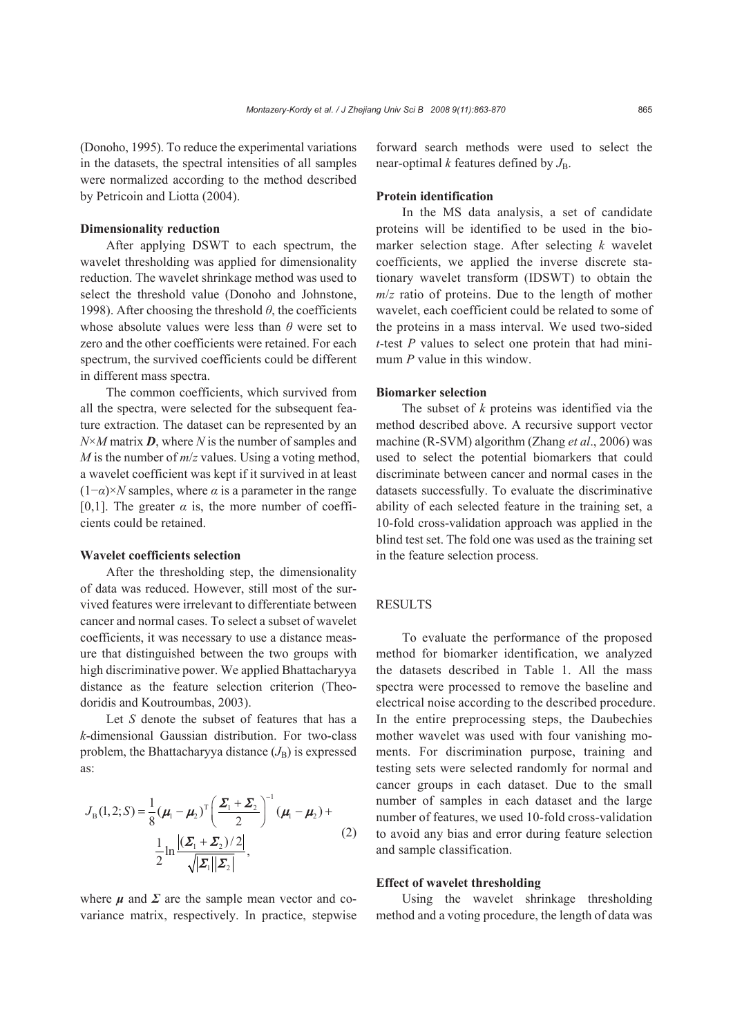(Donoho, 1995). To reduce the experimental variations in the datasets, the spectral intensities of all samples were normalized according to the method described by Petricoin and Liotta (2004).

## **Dimensionality reduction**

After applying DSWT to each spectrum, the wavelet thresholding was applied for dimensionality reduction. The wavelet shrinkage method was used to select the threshold value (Donoho and Johnstone, 1998). After choosing the threshold  $\theta$ , the coefficients whose absolute values were less than *θ* were set to zero and the other coefficients were retained. For each spectrum, the survived coefficients could be different in different mass spectra.

The common coefficients, which survived from all the spectra, were selected for the subsequent feature extraction. The dataset can be represented by an *N*×*M* matrix *D*, where *N* is the number of samples and *M* is the number of *m*/*z* values. Using a voting method, a wavelet coefficient was kept if it survived in at least  $(1-\alpha) \times N$  samples, where  $\alpha$  is a parameter in the range [0,1]. The greater  $\alpha$  is, the more number of coefficients could be retained.

#### **Wavelet coefficients selection**

After the thresholding step, the dimensionality of data was reduced. However, still most of the survived features were irrelevant to differentiate between cancer and normal cases. To select a subset of wavelet coefficients, it was necessary to use a distance measure that distinguished between the two groups with high discriminative power. We applied Bhattacharyya distance as the feature selection criterion (Theodoridis and Koutroumbas, 2003).

Let *S* denote the subset of features that has a *k*-dimensional Gaussian distribution. For two-class problem, the Bhattacharyya distance  $(J_B)$  is expressed as:

$$
J_{\rm B}(1,2;S) = \frac{1}{8} (\mu_{\rm I} - \mu_{\rm 2})^{\rm T} \left( \frac{\Sigma_{\rm I} + \Sigma_{\rm 2}}{2} \right)^{-1} (\mu_{\rm I} - \mu_{\rm 2}) +
$$
  

$$
\frac{1}{2} \ln \frac{|(\Sigma_{\rm I} + \Sigma_{\rm 2})/2|}{\sqrt{|\Sigma_{\rm I}| |\Sigma_{\rm 2}|}},
$$
 (2)

where  $\mu$  and  $\Sigma$  are the sample mean vector and covariance matrix, respectively. In practice, stepwise forward search methods were used to select the near-optimal  $k$  features defined by  $J_{\text{B}}$ .

## **Protein identification**

In the MS data analysis, a set of candidate proteins will be identified to be used in the biomarker selection stage. After selecting *k* wavelet coefficients, we applied the inverse discrete stationary wavelet transform (IDSWT) to obtain the *m*/*z* ratio of proteins. Due to the length of mother wavelet, each coefficient could be related to some of the proteins in a mass interval. We used two-sided *t*-test *P* values to select one protein that had minimum *P* value in this window.

#### **Biomarker selection**

The subset of *k* proteins was identified via the method described above. A recursive support vector machine (R-SVM) algorithm (Zhang *et al*., 2006) was used to select the potential biomarkers that could discriminate between cancer and normal cases in the datasets successfully. To evaluate the discriminative ability of each selected feature in the training set, a 10-fold cross-validation approach was applied in the blind test set. The fold one was used as the training set in the feature selection process.

#### **RESULTS**

To evaluate the performance of the proposed method for biomarker identification, we analyzed the datasets described in Table 1. All the mass spectra were processed to remove the baseline and electrical noise according to the described procedure. In the entire preprocessing steps, the Daubechies mother wavelet was used with four vanishing moments. For discrimination purpose, training and testing sets were selected randomly for normal and cancer groups in each dataset. Due to the small number of samples in each dataset and the large number of features, we used 10-fold cross-validation to avoid any bias and error during feature selection and sample classification.

## **Effect of wavelet thresholding**

Using the wavelet shrinkage thresholding method and a voting procedure, the length of data was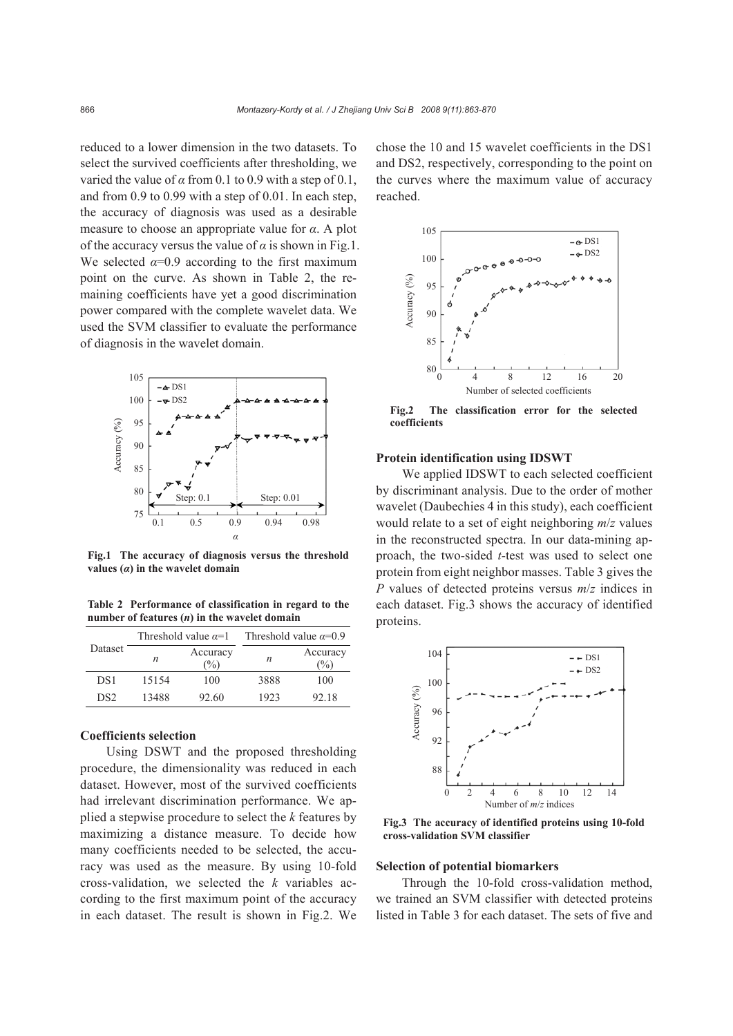reduced to a lower dimension in the two datasets. To select the survived coefficients after thresholding, we varied the value of  $\alpha$  from 0.1 to 0.9 with a step of 0.1, and from 0.9 to 0.99 with a step of 0.01. In each step, the accuracy of diagnosis was used as a desirable measure to choose an appropriate value for *α*. A plot of the accuracy versus the value of  $\alpha$  is shown in Fig.1. We selected  $\alpha=0.9$  according to the first maximum point on the curve. As shown in Table 2, the remaining coefficients have yet a good discrimination power compared with the complete wavelet data. We used the SVM classifier to evaluate the performance of diagnosis in the wavelet domain.



**Fig.1 The accuracy of diagnosis versus the threshold values (***α***) in the wavelet domain** 

**Table 2 Performance of classification in regard to the number of features (***n***) in the wavelet domain**

|                 | Threshold value $\alpha=1$ |                           | Threshold value $\alpha=0.9$ |                  |  |
|-----------------|----------------------------|---------------------------|------------------------------|------------------|--|
| Dataset         | n                          | Accuracy<br>$\frac{1}{2}$ | n                            | Accuracy<br>$\%$ |  |
| DS1             | 15154                      | 100                       | 3888                         | 100              |  |
| DS <sub>2</sub> | 13488                      | 92.60                     | 1923                         | 92.18            |  |

## **Coefficients selection**

Using DSWT and the proposed thresholding procedure, the dimensionality was reduced in each dataset. However, most of the survived coefficients had irrelevant discrimination performance. We applied a stepwise procedure to select the *k* features by maximizing a distance measure. To decide how many coefficients needed to be selected, the accuracy was used as the measure. By using 10-fold cross-validation, we selected the *k* variables according to the first maximum point of the accuracy in each dataset. The result is shown in Fig.2. We

chose the 10 and 15 wavelet coefficients in the DS1 and DS2, respectively, corresponding to the point on the curves where the maximum value of accuracy reached.



**Fig.2 The classification error for the selected coefficients** 

#### **Protein identification using IDSWT**

We applied IDSWT to each selected coefficient by discriminant analysis. Due to the order of mother wavelet (Daubechies 4 in this study), each coefficient would relate to a set of eight neighboring *m*/*z* values in the reconstructed spectra. In our data-mining approach, the two-sided *t*-test was used to select one protein from eight neighbor masses. Table 3 gives the *P* values of detected proteins versus *m*/*z* indices in each dataset. Fig.3 shows the accuracy of identified proteins.



**Fig.3 The accuracy of identified proteins using 10-fold cross-validation SVM classifier** 

#### **Selection of potential biomarkers**

Through the 10-fold cross-validation method, we trained an SVM classifier with detected proteins listed in Table 3 for each dataset. The sets of five and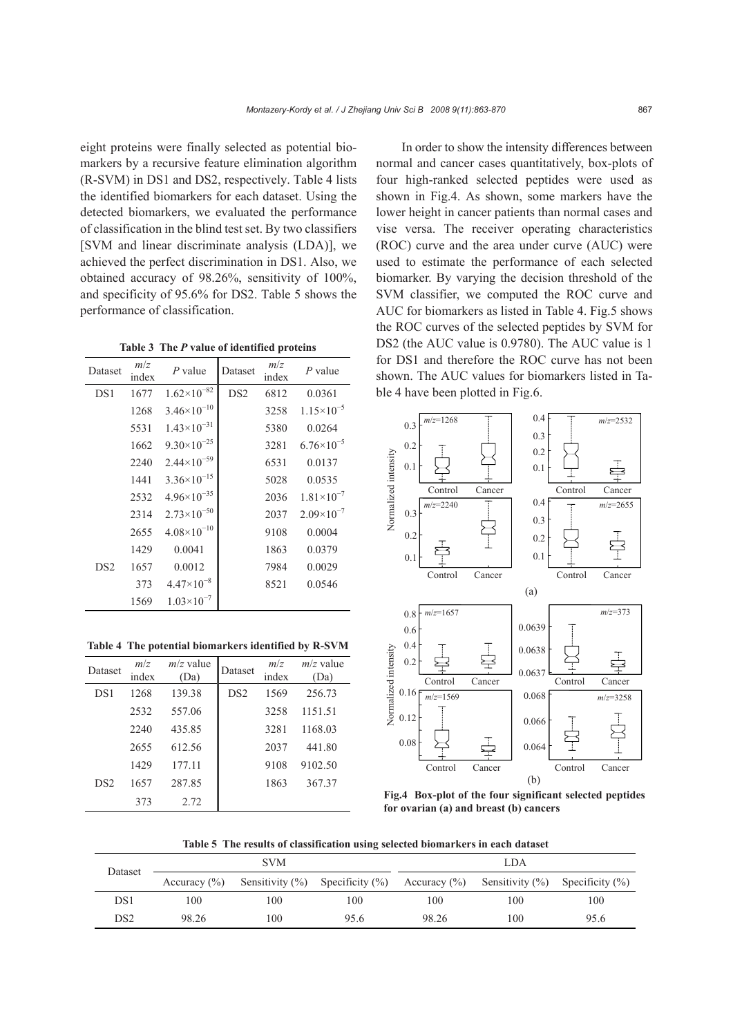eight proteins were finally selected as potential biomarkers by a recursive feature elimination algorithm (R-SVM) in DS1 and DS2, respectively. Table 4 lists the identified biomarkers for each dataset. Using the detected biomarkers, we evaluated the performance of classification in the blind test set. By two classifiers [SVM and linear discriminate analysis (LDA)], we achieved the perfect discrimination in DS1. Also, we obtained accuracy of 98.26%, sensitivity of 100%, and specificity of 95.6% for DS2. Table 5 shows the performance of classification.

**Table 3 The** *P* **value of identified proteins**

| Dataset         | m/z<br>index | $P$ value              | Dataset         | m/z<br>index | $P$ value             |
|-----------------|--------------|------------------------|-----------------|--------------|-----------------------|
| DS1             | 1677         | $1.62\times10^{-82}$   | DS <sub>2</sub> | 6812         | 0.0361                |
|                 | 1268         | $3.46 \times 10^{-10}$ |                 | 3258         | $1.15\times10^{-5}$   |
|                 | 5531         | $1.43\times10^{-31}$   |                 | 5380         | 0.0264                |
|                 | 1662         | $9.30\times10^{-25}$   |                 | 3281         | $6.76 \times 10^{-5}$ |
|                 | 2240         | $2.44 \times 10^{-59}$ |                 | 6531         | 0.0137                |
|                 | 1441         | $3.36 \times 10^{-15}$ |                 | 5028         | 0.0535                |
|                 | 2532         | $4.96\times10^{-35}$   |                 | 2036         | $1.81\times10^{-7}$   |
|                 | 2314         | $2.73\times10^{-50}$   |                 | 2037         | $2.09\times10^{-7}$   |
|                 | 2655         | $4.08 \times 10^{-10}$ |                 | 9108         | 0.0004                |
|                 | 1429         | 0.0041                 |                 | 1863         | 0.0379                |
| DS <sub>2</sub> | 1657         | 0.0012                 |                 | 7984         | 0.0029                |
|                 | 373          | $4.47\times10^{-8}$    |                 | 8521         | 0.0546                |
|                 | 1569         | $1.03\times10^{-7}$    |                 |              |                       |

**Table 4 The potential biomarkers identified by R-SVM**

| Dataset         | m/z<br>index | $m/z$ value<br>(Da) | Dataset         | m/z<br>index | $m/z$ value<br>(Da) |
|-----------------|--------------|---------------------|-----------------|--------------|---------------------|
| DS1             | 1268         | 139.38              | DS <sub>2</sub> | 1569         | 256.73              |
|                 | 2532         | 557.06              |                 | 3258         | 1151.51             |
|                 | 2240         | 435.85              |                 | 3281         | 1168.03             |
|                 | 2655         | 612.56              |                 | 2037         | 441.80              |
|                 | 1429         | 177.11              |                 | 9108         | 9102.50             |
| DS <sub>2</sub> | 1657         | 287.85              |                 | 1863         | 367.37              |
|                 | 373          | 2.72                |                 |              |                     |

In order to show the intensity differences between normal and cancer cases quantitatively, box-plots of four high-ranked selected peptides were used as shown in Fig.4. As shown, some markers have the lower height in cancer patients than normal cases and vise versa. The receiver operating characteristics (ROC) curve and the area under curve (AUC) were used to estimate the performance of each selected biomarker. By varying the decision threshold of the SVM classifier, we computed the ROC curve and AUC for biomarkers as listed in Table 4. Fig.5 shows the ROC curves of the selected peptides by SVM for DS2 (the AUC value is 0.9780). The AUC value is 1 for DS1 and therefore the ROC curve has not been shown. The AUC values for biomarkers listed in Table 4 have been plotted in Fig.6.



**Fig.4 Box-plot of the four significant selected peptides for ovarian (a) and breast (b) cancers** 

**Table 5 The results of classification using selected biomarkers in each dataset**

| Dataset | <b>SVM</b>       |     |                                                                                             | LDA   |     |      |
|---------|------------------|-----|---------------------------------------------------------------------------------------------|-------|-----|------|
|         | Accuracy $(\% )$ |     | Sensitivity $(\%)$ Specificity $(\%)$ Accuracy $(\%)$ Sensitivity $(\%)$ Specificity $(\%)$ |       |     |      |
| DS1     | 100              | 100 | 100                                                                                         | 100   | 100 | 100  |
| DS2     | 98.26            | 100 | 95.6                                                                                        | 98.26 | 100 | 95.6 |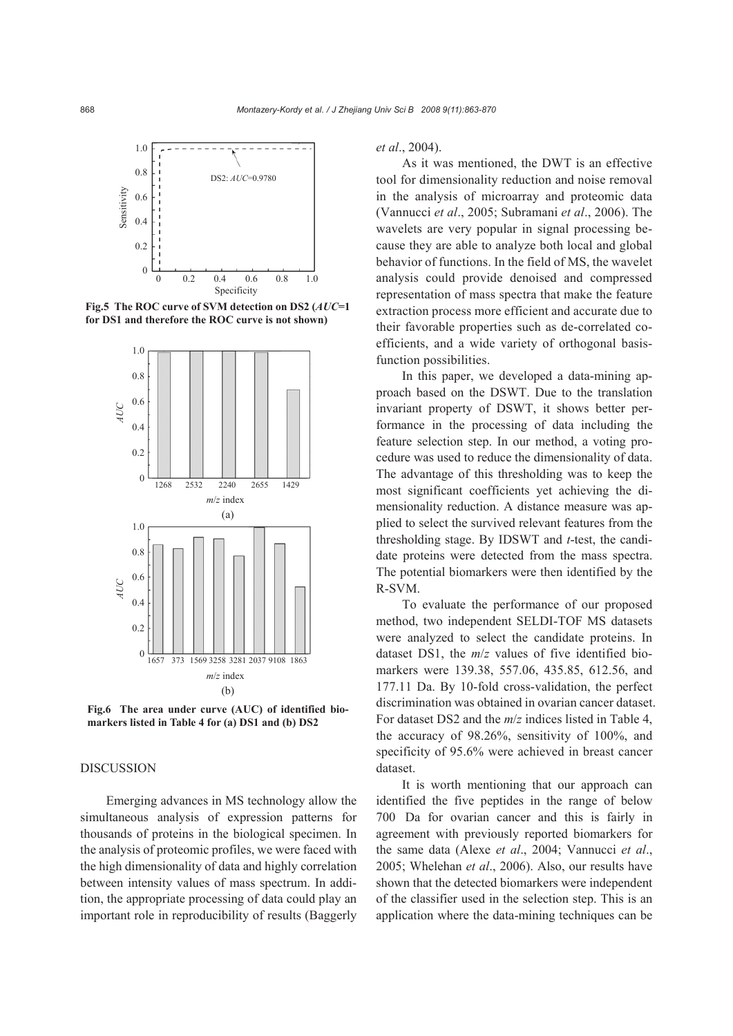

**Fig.5 The ROC curve of SVM detection on DS2 (***AUC***=1 for DS1 and therefore the ROC curve is not shown)** 



**Fig.6 The area under curve (AUC) of identified biomarkers listed in Table 4 for (a) DS1 and (b) DS2** 

## **DISCUSSION**

Emerging advances in MS technology allow the simultaneous analysis of expression patterns for thousands of proteins in the biological specimen. In the analysis of proteomic profiles, we were faced with the high dimensionality of data and highly correlation between intensity values of mass spectrum. In addition, the appropriate processing of data could play an important role in reproducibility of results (Baggerly

*et al*., 2004).

As it was mentioned, the DWT is an effective tool for dimensionality reduction and noise removal in the analysis of microarray and proteomic data (Vannucci *et al*., 2005; Subramani *et al*., 2006). The wavelets are very popular in signal processing because they are able to analyze both local and global behavior of functions. In the field of MS, the wavelet analysis could provide denoised and compressed representation of mass spectra that make the feature extraction process more efficient and accurate due to their favorable properties such as de-correlated coefficients, and a wide variety of orthogonal basisfunction possibilities.

In this paper, we developed a data-mining approach based on the DSWT. Due to the translation invariant property of DSWT, it shows better performance in the processing of data including the feature selection step. In our method, a voting procedure was used to reduce the dimensionality of data. The advantage of this thresholding was to keep the most significant coefficients yet achieving the dimensionality reduction. A distance measure was applied to select the survived relevant features from the thresholding stage. By IDSWT and *t*-test, the candidate proteins were detected from the mass spectra. The potential biomarkers were then identified by the R-SVM.

To evaluate the performance of our proposed method, two independent SELDI-TOF MS datasets were analyzed to select the candidate proteins. In dataset DS1, the *m*/*z* values of five identified biomarkers were 139.38, 557.06, 435.85, 612.56, and 177.11 Da. By 10-fold cross-validation, the perfect discrimination was obtained in ovarian cancer dataset. For dataset DS2 and the *m*/*z* indices listed in Table 4, the accuracy of 98.26%, sensitivity of 100%, and specificity of 95.6% were achieved in breast cancer dataset.

It is worth mentioning that our approach can identified the five peptides in the range of below 700 Da for ovarian cancer and this is fairly in agreement with previously reported biomarkers for the same data (Alexe *et al*., 2004; Vannucci *et al*., 2005; Whelehan *et al*., 2006). Also, our results have shown that the detected biomarkers were independent of the classifier used in the selection step. This is an application where the data-mining techniques can be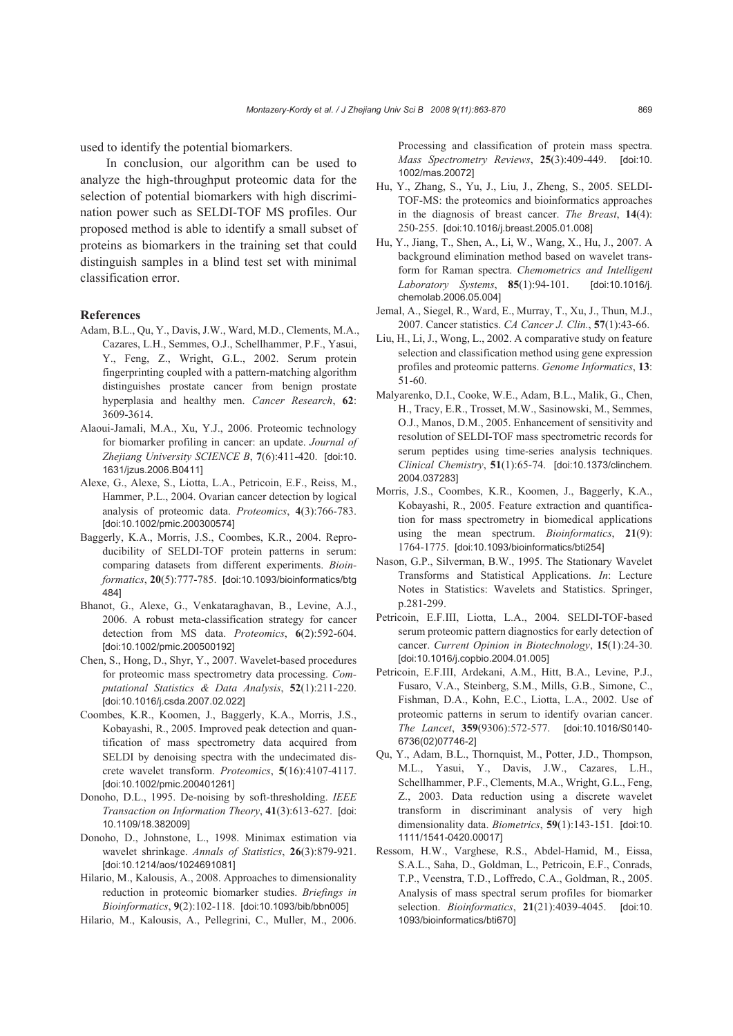used to identify the potential biomarkers.

In conclusion, our algorithm can be used to analyze the high-throughput proteomic data for the selection of potential biomarkers with high discrimination power such as SELDI-TOF MS profiles. Our proposed method is able to identify a small subset of proteins as biomarkers in the training set that could distinguish samples in a blind test set with minimal classification error.

#### **References**

- Adam, B.L., Qu, Y., Davis, J.W., Ward, M.D., Clements, M.A., Cazares, L.H., Semmes, O.J., Schellhammer, P.F., Yasui, Y., Feng, Z., Wright, G.L., 2002. Serum protein fingerprinting coupled with a pattern-matching algorithm distinguishes prostate cancer from benign prostate hyperplasia and healthy men. *Cancer Research*, **62**: 3609-3614.
- Alaoui-Jamali, M.A., Xu, Y.J., 2006. Proteomic technology for biomarker profiling in cancer: an update. *Journal of Zhejiang University SCIENCE B*, **7**(6):411-420. [doi:10. 1631/jzus.2006.B0411]
- Alexe, G., Alexe, S., Liotta, L.A., Petricoin, E.F., Reiss, M., Hammer, P.L., 2004. Ovarian cancer detection by logical analysis of proteomic data. *Proteomics*, **4**(3):766-783. [doi:10.1002/pmic.200300574]
- Baggerly, K.A., Morris, J.S., Coombes, K.R., 2004. Reproducibility of SELDI-TOF protein patterns in serum: comparing datasets from different experiments. *Bioinformatics*, **20**(5):777-785. [doi:10.1093/bioinformatics/btg 484]
- Bhanot, G., Alexe, G., Venkataraghavan, B., Levine, A.J., 2006. A robust meta-classification strategy for cancer detection from MS data. *Proteomics*, **6**(2):592-604. [doi:10.1002/pmic.200500192]
- Chen, S., Hong, D., Shyr, Y., 2007. Wavelet-based procedures for proteomic mass spectrometry data processing. *Computational Statistics & Data Analysis*, **52**(1):211-220. [doi:10.1016/j.csda.2007.02.022]
- Coombes, K.R., Koomen, J., Baggerly, K.A., Morris, J.S., Kobayashi, R., 2005. Improved peak detection and quantification of mass spectrometry data acquired from SELDI by denoising spectra with the undecimated discrete wavelet transform. *Proteomics*, **5**(16):4107-4117. [doi:10.1002/pmic.200401261]
- Donoho, D.L., 1995. De-noising by soft-thresholding. *IEEE Transaction on Information Theory*, **41**(3):613-627. [doi: 10.1109/18.382009]
- Donoho, D., Johnstone, L., 1998. Minimax estimation via wavelet shrinkage. *Annals of Statistics*, **26**(3):879-921. [doi:10.1214/aos/1024691081]
- Hilario, M., Kalousis, A., 2008. Approaches to dimensionality reduction in proteomic biomarker studies. *Briefings in Bioinformatics*, **9**(2):102-118. [doi:10.1093/bib/bbn005]
- Hilario, M., Kalousis, A., Pellegrini, C., Muller, M., 2006.

Processing and classification of protein mass spectra. *Mass Spectrometry Reviews*, **25**(3):409-449. [doi:10. 1002/mas.20072]

- Hu, Y., Zhang, S., Yu, J., Liu, J., Zheng, S., 2005. SELDI-TOF-MS: the proteomics and bioinformatics approaches in the diagnosis of breast cancer. *The Breast*, **14**(4): 250-255. [doi:10.1016/j.breast.2005.01.008]
- Hu, Y., Jiang, T., Shen, A., Li, W., Wang, X., Hu, J., 2007. A background elimination method based on wavelet transform for Raman spectra. *Chemometrics and Intelligent Laboratory Systems*, **85**(1):94-101. [doi:10.1016/j. chemolab.2006.05.004]
- Jemal, A., Siegel, R., Ward, E., Murray, T., Xu, J., Thun, M.J., 2007. Cancer statistics. *CA Cancer J. Clin.*, **57**(1):43-66.
- Liu, H., Li, J., Wong, L., 2002. A comparative study on feature selection and classification method using gene expression profiles and proteomic patterns. *Genome Informatics*, **13**: 51-60.
- Malyarenko, D.I., Cooke, W.E., Adam, B.L., Malik, G., Chen, H., Tracy, E.R., Trosset, M.W., Sasinowski, M., Semmes, O.J., Manos, D.M., 2005. Enhancement of sensitivity and resolution of SELDI-TOF mass spectrometric records for serum peptides using time-series analysis techniques. *Clinical Chemistry*, **51**(1):65-74. [doi:10.1373/clinchem. 2004.037283]
- Morris, J.S., Coombes, K.R., Koomen, J., Baggerly, K.A., Kobayashi, R., 2005. Feature extraction and quantification for mass spectrometry in biomedical applications using the mean spectrum. *Bioinformatics*, **21**(9): 1764-1775. [doi:10.1093/bioinformatics/bti254]
- Nason, G.P., Silverman, B.W., 1995. The Stationary Wavelet Transforms and Statistical Applications. *In*: Lecture Notes in Statistics: Wavelets and Statistics. Springer, p.281-299.
- Petricoin, E.F.III, Liotta, L.A., 2004. SELDI-TOF-based serum proteomic pattern diagnostics for early detection of cancer. *Current Opinion in Biotechnology*, **15**(1):24-30. [doi:10.1016/j.copbio.2004.01.005]
- Petricoin, E.F.III, Ardekani, A.M., Hitt, B.A., Levine, P.J., Fusaro, V.A., Steinberg, S.M., Mills, G.B., Simone, C., Fishman, D.A., Kohn, E.C., Liotta, L.A., 2002. Use of proteomic patterns in serum to identify ovarian cancer. *The Lancet*, **359**(9306):572-577. [doi:10.1016/S0140- 6736(02)07746-2]
- Qu, Y., Adam, B.L., Thornquist, M., Potter, J.D., Thompson, M.L., Yasui, Y., Davis, J.W., Cazares, L.H., Schellhammer, P.F., Clements, M.A., Wright, G.L., Feng, Z., 2003. Data reduction using a discrete wavelet transform in discriminant analysis of very high dimensionality data. *Biometrics*, **59**(1):143-151. [doi:10. 1111/1541-0420.00017]
- Ressom, H.W., Varghese, R.S., Abdel-Hamid, M., Eissa, S.A.L., Saha, D., Goldman, L., Petricoin, E.F., Conrads, T.P., Veenstra, T.D., Loffredo, C.A., Goldman, R., 2005. Analysis of mass spectral serum profiles for biomarker selection. *Bioinformatics*, **21**(21):4039-4045. [doi:10. 1093/bioinformatics/bti670]